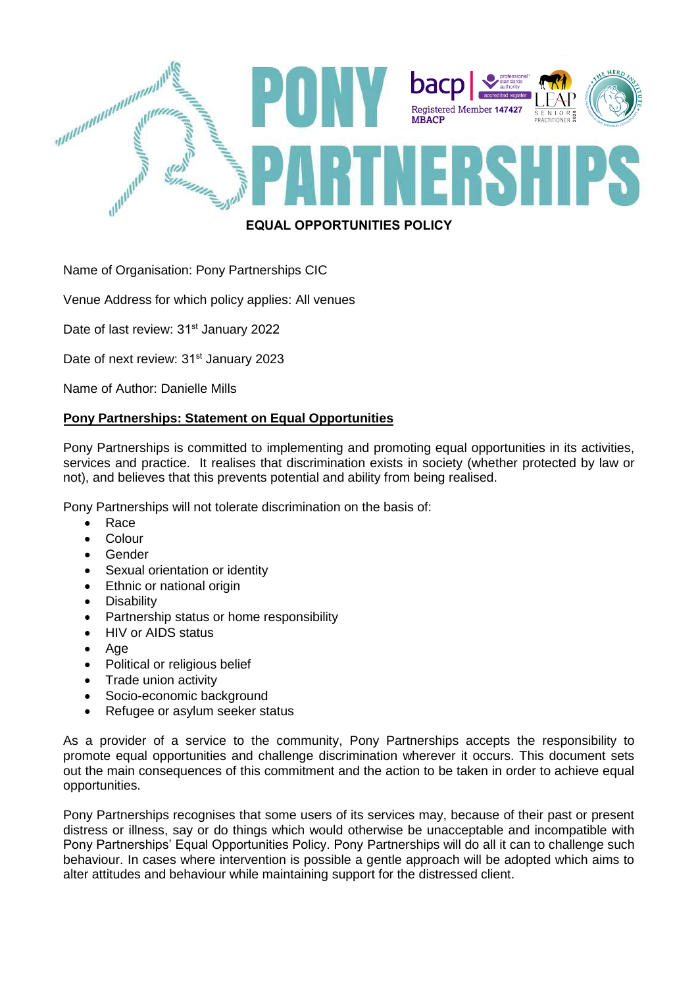

# **EQUAL OPPORTUNITIES POLICY**

# Name of Organisation: Pony Partnerships CIC

Venue Address for which policy applies: All venues

Date of last review: 31<sup>st</sup> January 2022

Date of next review: 31<sup>st</sup> January 2023

Name of Author: Danielle Mills

## **Pony Partnerships: Statement on Equal Opportunities**

Pony Partnerships is committed to implementing and promoting equal opportunities in its activities, services and practice. It realises that discrimination exists in society (whether protected by law or not), and believes that this prevents potential and ability from being realised.

Pony Partnerships will not tolerate discrimination on the basis of:

- Race
- **Colour**
- Gender
- Sexual orientation or identity
- Ethnic or national origin
- Disability
- Partnership status or home responsibility
- HIV or AIDS status
- Age
- Political or religious belief
- Trade union activity
- Socio-economic background
- Refugee or asylum seeker status

As a provider of a service to the community, Pony Partnerships accepts the responsibility to promote equal opportunities and challenge discrimination wherever it occurs. This document sets out the main consequences of this commitment and the action to be taken in order to achieve equal opportunities.

Pony Partnerships recognises that some users of its services may, because of their past or present distress or illness, say or do things which would otherwise be unacceptable and incompatible with Pony Partnerships' Equal Opportunities Policy. Pony Partnerships will do all it can to challenge such behaviour. In cases where intervention is possible a gentle approach will be adopted which aims to alter attitudes and behaviour while maintaining support for the distressed client.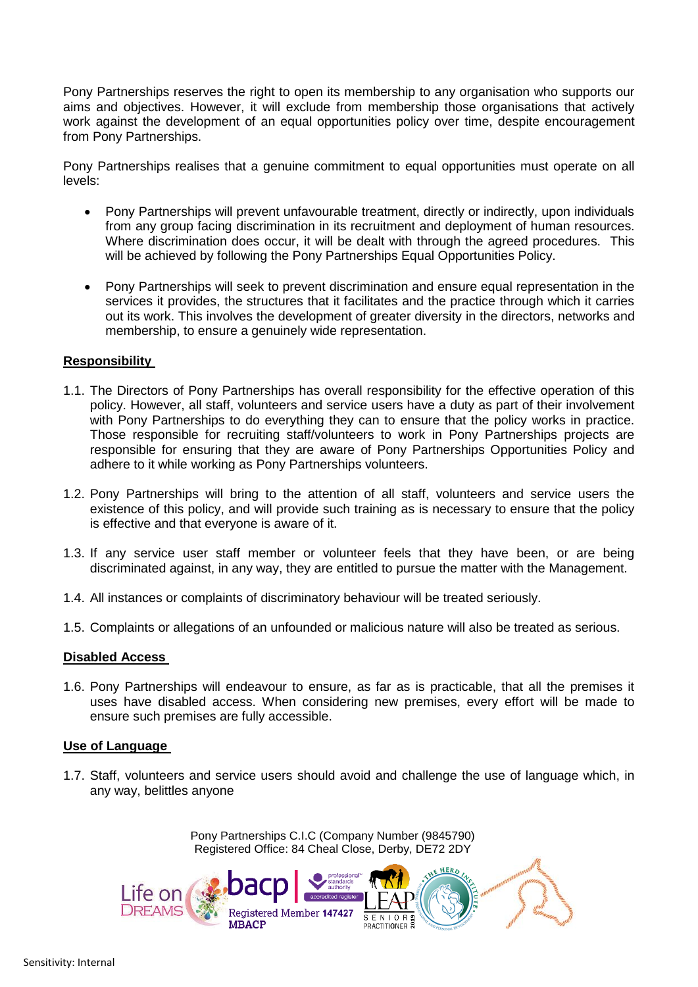Pony Partnerships reserves the right to open its membership to any organisation who supports our aims and objectives. However, it will exclude from membership those organisations that actively work against the development of an equal opportunities policy over time, despite encouragement from Pony Partnerships.

Pony Partnerships realises that a genuine commitment to equal opportunities must operate on all levels:

- Pony Partnerships will prevent unfavourable treatment, directly or indirectly, upon individuals from any group facing discrimination in its recruitment and deployment of human resources. Where discrimination does occur, it will be dealt with through the agreed procedures. This will be achieved by following the Pony Partnerships Equal Opportunities Policy.
- Pony Partnerships will seek to prevent discrimination and ensure equal representation in the services it provides, the structures that it facilitates and the practice through which it carries out its work. This involves the development of greater diversity in the directors, networks and membership, to ensure a genuinely wide representation.

### **Responsibility**

- 1.1. The Directors of Pony Partnerships has overall responsibility for the effective operation of this policy. However, all staff, volunteers and service users have a duty as part of their involvement with Pony Partnerships to do everything they can to ensure that the policy works in practice. Those responsible for recruiting staff/volunteers to work in Pony Partnerships projects are responsible for ensuring that they are aware of Pony Partnerships Opportunities Policy and adhere to it while working as Pony Partnerships volunteers.
- 1.2. Pony Partnerships will bring to the attention of all staff, volunteers and service users the existence of this policy, and will provide such training as is necessary to ensure that the policy is effective and that everyone is aware of it.
- 1.3. If any service user staff member or volunteer feels that they have been, or are being discriminated against, in any way, they are entitled to pursue the matter with the Management.
- 1.4. All instances or complaints of discriminatory behaviour will be treated seriously.
- 1.5. Complaints or allegations of an unfounded or malicious nature will also be treated as serious.

#### **Disabled Access**

1.6. Pony Partnerships will endeavour to ensure, as far as is practicable, that all the premises it uses have disabled access. When considering new premises, every effort will be made to ensure such premises are fully accessible.

#### **Use of Language**

1.7. Staff, volunteers and service users should avoid and challenge the use of language which, in any way, belittles anyone

> Pony Partnerships C.I.C (Company Number (9845790) Registered Office: 84 Cheal Close, Derby, DE72 2DY

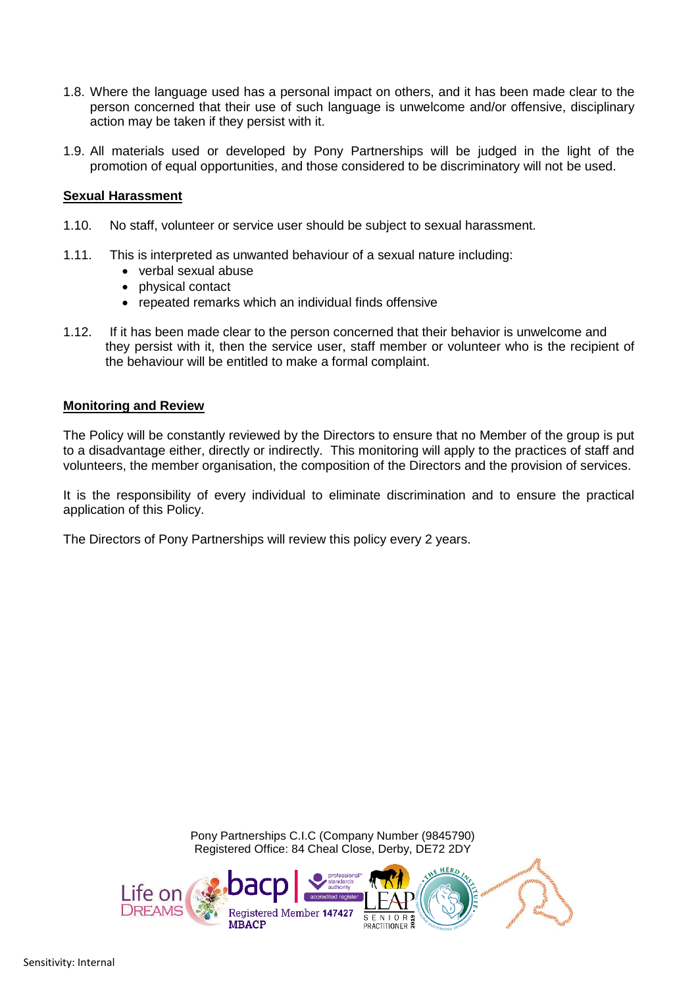- 1.8. Where the language used has a personal impact on others, and it has been made clear to the person concerned that their use of such language is unwelcome and/or offensive, disciplinary action may be taken if they persist with it.
- 1.9. All materials used or developed by Pony Partnerships will be judged in the light of the promotion of equal opportunities, and those considered to be discriminatory will not be used.

### **Sexual Harassment**

- 1.10. No staff, volunteer or service user should be subject to sexual harassment.
- 1.11. This is interpreted as unwanted behaviour of a sexual nature including:
	- verbal sexual abuse
	- physical contact
	- repeated remarks which an individual finds offensive
- 1.12. If it has been made clear to the person concerned that their behavior is unwelcome and they persist with it, then the service user, staff member or volunteer who is the recipient of the behaviour will be entitled to make a formal complaint.

#### **Monitoring and Review**

The Policy will be constantly reviewed by the Directors to ensure that no Member of the group is put to a disadvantage either, directly or indirectly. This monitoring will apply to the practices of staff and volunteers, the member organisation, the composition of the Directors and the provision of services.

It is the responsibility of every individual to eliminate discrimination and to ensure the practical application of this Policy.

The Directors of Pony Partnerships will review this policy every 2 years.

Pony Partnerships C.I.C (Company Number (9845790) Registered Office: 84 Cheal Close, Derby, DE72 2DY